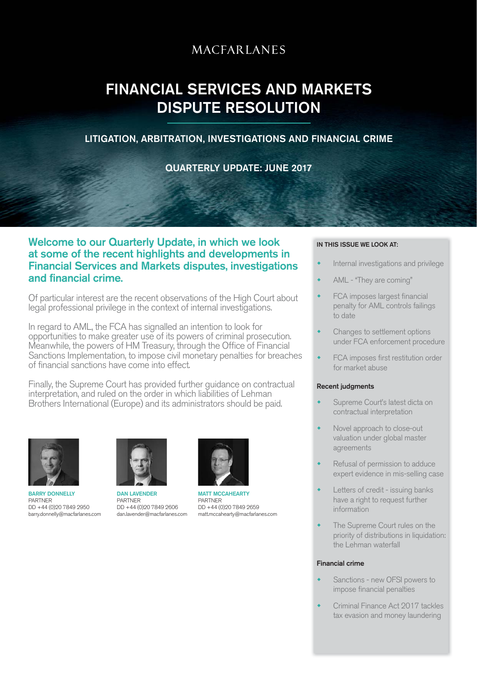# **MACFARLANES**

# FINANCIAL SERVICES AND MARKETS DISPUTE RESOLUTION

# LITIGATION, ARBITRATION, INVESTIGATIONS AND FINANCIAL CRIME

QUARTERLY UPDATE: JUNE 2017

# Welcome to our Quarterly Update, in which we look at some of the recent highlights and developments in Financial Services and Markets disputes, investigations and financial crime.

Of particular interest are the recent observations of the High Court about legal professional privilege in the context of internal investigations.

In regard to AML, the FCA has signalled an intention to look for opportunities to make greater use of its powers of criminal prosecution. Meanwhile, the powers of HM Treasury, through the Office of Financial Sanctions Implementation, to impose civil monetary penalties for breaches of financial sanctions have come into effect.

Finally, the Supreme Court has provided further guidance on contractual interpretation, and ruled on the order in which liabilities of Lehman Brothers International (Europe) and its administrators should be paid.



**BARRY DONNELLY** PARTNER DD +44 (0)20 7849 2950 barry.donnelly@macfarlanes.com



DAN LAVENDER PARTNER DD +44 (0)20 7849 2606 dan.lavender@macfarlanes.com



MATT MCCAHEARTY PARTNER DD +44 (0)20 7849 2659 matt.mccahearty@macfarlanes.com

# IN THIS ISSUE WE LOOK AT:

- Internal investigations and privilege
- AML "They are coming"
- FCA imposes largest financial penalty for AML controls failings to date
- Changes to settlement options under FCA enforcement procedure
- FCA imposes first restitution order for market abuse

## Recent judgments

- Supreme Court's latest dicta on contractual interpretation
- Novel approach to close-out valuation under global master agreements
- Refusal of permission to adduce expert evidence in mis-selling case
- Letters of credit issuing banks have a right to request further information
- The Supreme Court rules on the priority of distributions in liquidation: the Lehman waterfall

## Financial crime

- Sanctions new OFSI powers to impose financial penalties
- Criminal Finance Act 2017 tackles tax evasion and money laundering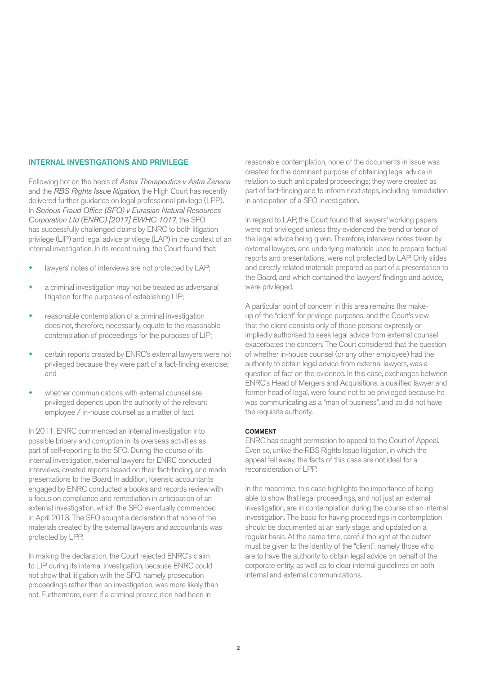# INTERNAL INVESTIGATIONS AND PRIVILEGE

Following hot on the heels of *Astex Therapeutics v Astra Zeneca* and the *RBS Rights Issue litigation*, the High Court has recently delivered further guidance on legal professional privilege (LPP). In *Serious Fraud Office (SFO) v Eurasian Natural Resources Corporation Ltd (ENRC) [2017] EWHC 1017*, the SFO has successfully challenged claims by ENRC to both litigation privilege (LIP) and legal advice privilege (LAP) in the context of an internal investigation. In its recent ruling, the Court found that:

- lawyers' notes of interviews are not protected by LAP;
- a criminal investigation may not be treated as adversarial litigation for the purposes of establishing LIP;
- reasonable contemplation of a criminal investigation does not, therefore, necessarily, equate to the reasonable contemplation of proceedings for the purposes of LIP;
- certain reports created by ENRC's external lawyers were not privileged because they were part of a fact-finding exercise; and
- whether communications with external counsel are privileged depends upon the authority of the relevant employee / in-house counsel as a matter of fact.

In 2011, ENRC commenced an internal investigation into possible bribery and corruption in its overseas activities as part of self-reporting to the SFO. During the course of its internal investigation, external lawyers for ENRC conducted interviews, created reports based on their fact-finding, and made presentations to the Board. In addition, forensic accountants engaged by ENRC conducted a books and records review with a focus on compliance and remediation in anticipation of an external investigation, which the SFO eventually commenced in April 2013. The SFO sought a declaration that none of the materials created by the external lawyers and accountants was protected by LPP.

In making the declaration, the Court rejected ENRC's claim to LIP during its internal investigation, because ENRC could not show that litigation with the SFO, namely prosecution proceedings rather than an investigation, was more likely than not. Furthermore, even if a criminal prosecution had been in

reasonable contemplation, none of the documents in issue was created for the dominant purpose of obtaining legal advice in relation to such anticipated proceedings; they were created as part of fact-finding and to inform next steps, including remediation in anticipation of a SFO investigation.

In regard to LAP, the Court found that lawyers' working papers were not privileged unless they evidenced the trend or tenor of the legal advice being given. Therefore, interview notes taken by external lawyers, and underlying materials used to prepare factual reports and presentations, were not protected by LAP. Only slides and directly related materials prepared as part of a presentation to the Board, and which contained the lawyers' findings and advice, were privileged.

A particular point of concern in this area remains the makeup of the "client" for privilege purposes, and the Court's view that the client consists only of those persons expressly or impliedly authorised to seek legal advice from external counsel exacerbates the concern. The Court considered that the question of whether in-house counsel (or any other employee) had the authority to obtain legal advice from external lawyers, was a question of fact on the evidence. In this case, exchanges between ENRC's Head of Mergers and Acquisitions, a qualified lawyer and former head of legal, were found not to be privileged because he was communicating as a "man of business", and so did not have the requisite authority.

#### COMMENT

ENRC has sought permission to appeal to the Court of Appeal. Even so, unlike the RBS Rights Issue litigation, in which the appeal fell away, the facts of this case are not ideal for a reconsideration of LPP.

In the meantime, this case highlights the importance of being able to show that legal proceedings, and not just an external investigation, are in contemplation during the course of an internal investigation. The basis for having proceedings in contemplation should be documented at an early stage, and updated on a regular basis. At the same time, careful thought at the outset must be given to the identity of the "client", namely those who are to have the authority to obtain legal advice on behalf of the corporate entity, as well as to clear internal guidelines on both internal and external communications.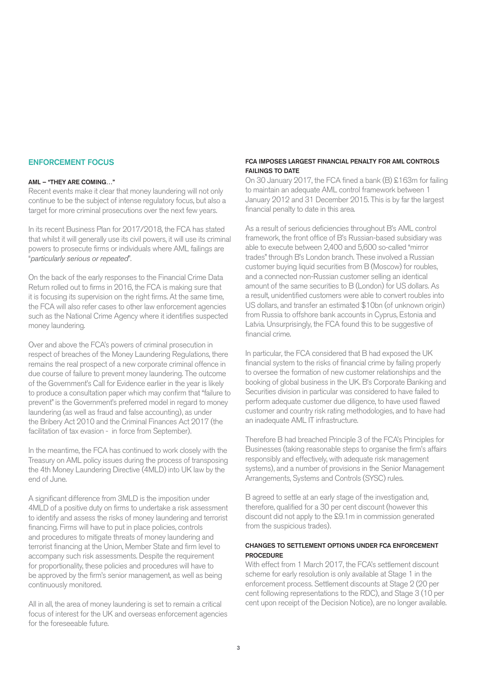# ENFORCEMENT FOCUS

# AML – "THEY ARE COMING…"

Recent events make it clear that money laundering will not only continue to be the subject of intense regulatory focus, but also a target for more criminal prosecutions over the next few years.

In its recent Business Plan for 2017/2018, the FCA has stated that whilst it will generally use its civil powers, it will use its criminal powers to prosecute firms or individuals where AML failings are "*particularly serious or repeated*".

On the back of the early responses to the Financial Crime Data Return rolled out to firms in 2016, the FCA is making sure that it is focusing its supervision on the right firms. At the same time, the FCA will also refer cases to other law enforcement agencies such as the National Crime Agency where it identifies suspected money laundering.

Over and above the FCA's powers of criminal prosecution in respect of breaches of the Money Laundering Regulations, there remains the real prospect of a new corporate criminal offence in due course of failure to prevent money laundering. The outcome of the Government's Call for Evidence earlier in the year is likely to produce a consultation paper which may confirm that "failure to prevent" is the Government's preferred model in regard to money laundering (as well as fraud and false accounting), as under the Bribery Act 2010 and the Criminal Finances Act 2017 (the facilitation of tax evasion - in force from September).

In the meantime, the FCA has continued to work closely with the Treasury on AML policy issues during the process of transposing the 4th Money Laundering Directive (4MLD) into UK law by the end of June.

A significant difference from 3MLD is the imposition under 4MLD of a positive duty on firms to undertake a risk assessment to identify and assess the risks of money laundering and terrorist financing. Firms will have to put in place policies, controls and procedures to mitigate threats of money laundering and terrorist financing at the Union, Member State and firm level to accompany such risk assessments. Despite the requirement for proportionality, these policies and procedures will have to be approved by the firm's senior management, as well as being continuously monitored.

All in all, the area of money laundering is set to remain a critical focus of interest for the UK and overseas enforcement agencies for the foreseeable future.

# FCA IMPOSES LARGEST FINANCIAL PENALTY FOR AML CONTROLS FAILINGS TO DATE

On 30 January 2017, the FCA fined a bank (B) £163m for failing to maintain an adequate AML control framework between 1 January 2012 and 31 December 2015. This is by far the largest financial penalty to date in this area.

As a result of serious deficiencies throughout B's AML control framework, the front office of B's Russian-based subsidiary was able to execute between 2,400 and 5,600 so-called "mirror trades" through B's London branch. These involved a Russian customer buying liquid securities from B (Moscow) for roubles, and a connected non-Russian customer selling an identical amount of the same securities to B (London) for US dollars. As a result, unidentified customers were able to convert roubles into US dollars, and transfer an estimated \$10bn (of unknown origin) from Russia to offshore bank accounts in Cyprus, Estonia and Latvia. Unsurprisingly, the FCA found this to be suggestive of financial crime.

In particular, the FCA considered that B had exposed the UK financial system to the risks of financial crime by failing properly to oversee the formation of new customer relationships and the booking of global business in the UK. B's Corporate Banking and Securities division in particular was considered to have failed to perform adequate customer due diligence, to have used flawed customer and country risk rating methodologies, and to have had an inadequate AML IT infrastructure.

Therefore B had breached Principle 3 of the FCA's Principles for Businesses (taking reasonable steps to organise the firm's affairs responsibly and effectively, with adequate risk management systems), and a number of provisions in the Senior Management Arrangements, Systems and Controls (SYSC) rules.

B agreed to settle at an early stage of the investigation and, therefore, qualified for a 30 per cent discount (however this discount did not apply to the £9.1m in commission generated from the suspicious trades).

## CHANGES TO SETTLEMENT OPTIONS UNDER FCA ENFORCEMENT PROCEDURE

With effect from 1 March 2017, the FCA's settlement discount scheme for early resolution is only available at Stage 1 in the enforcement process. Settlement discounts at Stage 2 (20 per cent following representations to the RDC), and Stage 3 (10 per cent upon receipt of the Decision Notice), are no longer available.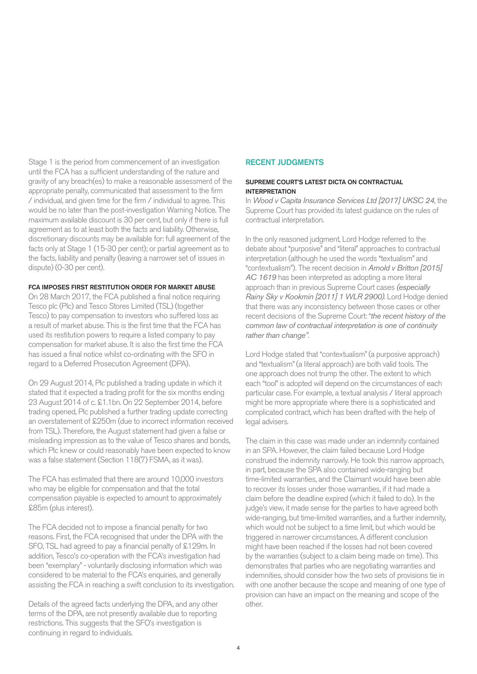Stage 1 is the period from commencement of an investigation until the FCA has a sufficient understanding of the nature and gravity of any breach(es) to make a reasonable assessment of the appropriate penalty, communicated that assessment to the firm / individual, and given time for the firm / individual to agree. This would be no later than the post-investigation Warning Notice. The maximum available discount is 30 per cent, but only if there is full agreement as to at least both the facts and liability. Otherwise, discretionary discounts may be available for: full agreement of the facts only at Stage 1 (15-30 per cent); or partial agreement as to the facts, liability and penalty (leaving a narrower set of issues in dispute) (0-30 per cent).

#### FCA IMPOSES FIRST RESTITUTION ORDER FOR MARKET ABUSE

On 28 March 2017, the FCA published a final notice requiring Tesco plc (Plc) and Tesco Stores Limited (TSL) (together Tesco) to pay compensation to investors who suffered loss as a result of market abuse. This is the first time that the FCA has used its restitution powers to require a listed company to pay compensation for market abuse. It is also the first time the FCA has issued a final notice whilst co-ordinating with the SFO in regard to a Deferred Prosecution Agreement (DPA).

On 29 August 2014, Plc published a trading update in which it stated that it expected a trading profit for the six months ending 23 August 2014 of c. £1.1bn. On 22 September 2014, before trading opened, Plc published a further trading update correcting an overstatement of £250m (due to incorrect information received from TSL). Therefore, the August statement had given a false or misleading impression as to the value of Tesco shares and bonds, which Plc knew or could reasonably have been expected to know was a false statement (Section 118(7) FSMA, as it was).

The FCA has estimated that there are around 10,000 investors who may be eligible for compensation and that the total compensation payable is expected to amount to approximately £85m (plus interest).

The FCA decided not to impose a financial penalty for two reasons. First, the FCA recognised that under the DPA with the SFO, TSL had agreed to pay a financial penalty of £129m. In addition, Tesco's co-operation with the FCA's investigation had been "exemplary" - voluntarily disclosing information which was considered to be material to the FCA's enquiries, and generally assisting the FCA in reaching a swift conclusion to its investigation.

Details of the agreed facts underlying the DPA, and any other terms of the DPA, are not presently available due to reporting restrictions. This suggests that the SFO's investigation is continuing in regard to individuals.

# RECENT JUDGMENTS

# SUPREME COURT'S LATEST DICTA ON CONTRACTUAL INTERPRETATION

In *Wood v Capita Insurance Services Ltd [2017] UKSC 24*, the Supreme Court has provided its latest guidance on the rules of contractual interpretation.

In the only reasoned judgment, Lord Hodge referred to the debate about "purposive" and "literal" approaches to contractual interpretation (although he used the words "textualism" and "contextualism"). The recent decision in *Arnold v Britton [2015] AC 1619* has been interpreted as adopting a more literal approach than in previous Supreme Court cases *(especially Rainy Sky v Kookmin [2011] 1 WLR 2900)*. Lord Hodge denied that there was any inconsistency between those cases or other recent decisions of the Supreme Court: "*the recent history of the common law of contractual interpretation is one of continuity rather than change"*.

Lord Hodge stated that "contextualism" (a purposive approach) and "textualism" (a literal approach) are both valid tools. The one approach does not trump the other. The extent to which each "tool" is adopted will depend on the circumstances of each particular case. For example, a textual analysis / literal approach might be more appropriate where there is a sophisticated and complicated contract, which has been drafted with the help of legal advisers.

The claim in this case was made under an indemnity contained in an SPA. However, the claim failed because Lord Hodge construed the indemnity narrowly. He took this narrow approach, in part, because the SPA also contained wide-ranging but time-limited warranties, and the Claimant would have been able to recover its losses under those warranties, if it had made a claim before the deadline expired (which it failed to do). In the judge's view, it made sense for the parties to have agreed both wide-ranging, but time-limited warranties, and a further indemnity, which would not be subject to a time limit, but which would be triggered in narrower circumstances. A different conclusion might have been reached if the losses had not been covered by the warranties (subject to a claim being made on time). This demonstrates that parties who are negotiating warranties and indemnities, should consider how the two sets of provisions tie in with one another because the scope and meaning of one type of provision can have an impact on the meaning and scope of the other.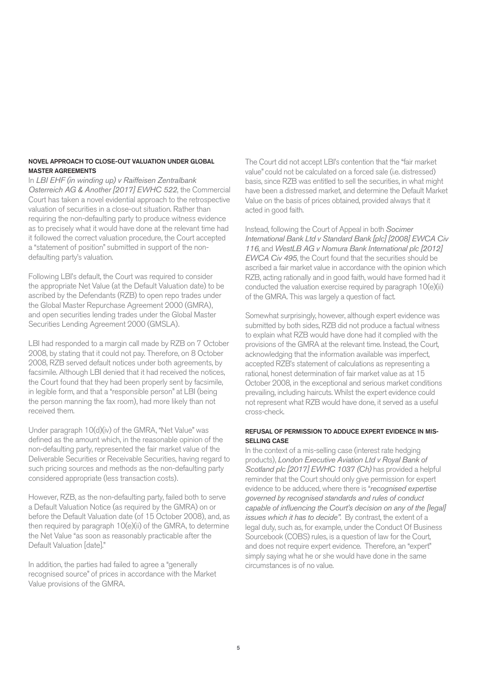# NOVEL APPROACH TO CLOSE-OUT VALUATION UNDER GLOBAL MASTER AGREEMENTS

In *LBI EHF (in winding up) v Raiffeisen Zentralbank Osterreich AG & Another [2017] EWHC 522*, the Commercial Court has taken a novel evidential approach to the retrospective valuation of securities in a close-out situation. Rather than requiring the non-defaulting party to produce witness evidence as to precisely what it would have done at the relevant time had it followed the correct valuation procedure, the Court accepted a "statement of position" submitted in support of the nondefaulting party's valuation.

Following LBI's default, the Court was required to consider the appropriate Net Value (at the Default Valuation date) to be ascribed by the Defendants (RZB) to open repo trades under the Global Master Repurchase Agreement 2000 (GMRA), and open securities lending trades under the Global Master Securities Lending Agreement 2000 (GMSLA).

LBI had responded to a margin call made by RZB on 7 October 2008, by stating that it could not pay. Therefore, on 8 October 2008, RZB served default notices under both agreements, by facsimile. Although LBI denied that it had received the notices, the Court found that they had been properly sent by facsimile, in legible form, and that a "responsible person" at LBI (being the person manning the fax room), had more likely than not received them.

Under paragraph 10(d)(iv) of the GMRA, "Net Value" was defined as the amount which, in the reasonable opinion of the non-defaulting party, represented the fair market value of the Deliverable Securities or Receivable Securities, having regard to such pricing sources and methods as the non-defaulting party considered appropriate (less transaction costs).

However, RZB, as the non-defaulting party, failed both to serve a Default Valuation Notice (as required by the GMRA) on or before the Default Valuation date (of 15 October 2008), and, as then required by paragraph 10(e)(ii) of the GMRA, to determine the Net Value "as soon as reasonably practicable after the Default Valuation [date]."

In addition, the parties had failed to agree a "generally recognised source" of prices in accordance with the Market Value provisions of the GMRA.

The Court did not accept LBI's contention that the "fair market value" could not be calculated on a forced sale (i.e. distressed) basis, since RZB was entitled to sell the securities, in what might have been a distressed market, and determine the Default Market Value on the basis of prices obtained, provided always that it acted in good faith.

Instead, following the Court of Appeal in both *Socimer International Bank Ltd v Standard Bank [plc] [2008] EWCA Civ 116*, and *WestLB AG v Nomura Bank International plc [2012] EWCA Civ 495*, the Court found that the securities should be ascribed a fair market value in accordance with the opinion which RZB, acting rationally and in good faith, would have formed had it conducted the valuation exercise required by paragraph 10(e)(ii) of the GMRA. This was largely a question of fact.

Somewhat surprisingly, however, although expert evidence was submitted by both sides, RZB did not produce a factual witness to explain what RZB would have done had it complied with the provisions of the GMRA at the relevant time. Instead, the Court, acknowledging that the information available was imperfect, accepted RZB's statement of calculations as representing a rational, honest determination of fair market value as at 15 October 2008, in the exceptional and serious market conditions prevailing, including haircuts. Whilst the expert evidence could not represent what RZB would have done, it served as a useful cross-check.

# REFUSAL OF PERMISSION TO ADDUCE EXPERT EVIDENCE IN MIS-SELLING CASE

In the context of a mis-selling case (interest rate hedging products), *London Executive Aviation Ltd v Royal Bank of Scotland plc [2017] EWHC 1037 (Ch)* has provided a helpful reminder that the Court should only give permission for expert evidence to be adduced, where there is "*recognised expertise governed by recognised standards and rules of conduct capable of influencing the Court's decision on any of the [legal] issues which it has to decide"*. By contrast, the extent of a legal duty, such as, for example, under the Conduct Of Business Sourcebook (COBS) rules, is a question of law for the Court, and does not require expert evidence. Therefore, an "expert" simply saying what he or she would have done in the same circumstances is of no value.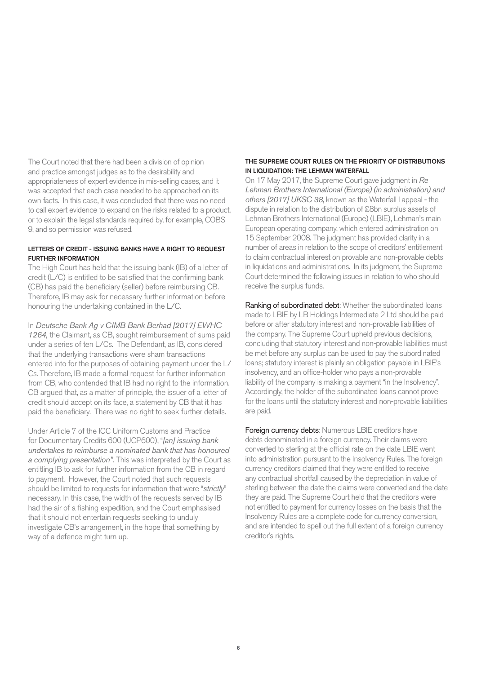The Court noted that there had been a division of opinion and practice amongst judges as to the desirability and appropriateness of expert evidence in mis-selling cases, and it was accepted that each case needed to be approached on its own facts. In this case, it was concluded that there was no need to call expert evidence to expand on the risks related to a product, or to explain the legal standards required by, for example, COBS 9, and so permission was refused.

## LETTERS OF CREDIT - ISSUING BANKS HAVE A RIGHT TO REQUEST FURTHER INFORMATION

The High Court has held that the issuing bank (IB) of a letter of credit (L/C) is entitled to be satisfied that the confirming bank (CB) has paid the beneficiary (seller) before reimbursing CB. Therefore, IB may ask for necessary further information before honouring the undertaking contained in the L/C.

In *Deutsche Bank Ag v CIMB Bank Berhad [2017] EWHC 1264,* the Claimant, as CB, sought reimbursement of sums paid under a series of ten L/Cs. The Defendant, as IB, considered that the underlying transactions were sham transactions entered into for the purposes of obtaining payment under the L/ Cs. Therefore, IB made a formal request for further information from CB, who contended that IB had no right to the information. CB argued that, as a matter of principle, the issuer of a letter of credit should accept on its face, a statement by CB that it has paid the beneficiary. There was no right to seek further details.

Under Article 7 of the ICC Uniform Customs and Practice for Documentary Credits 600 (UCP600), "*[an] issuing bank undertakes to reimburse a nominated bank that has honoured a complying presentation".* This was interpreted by the Court as entitling IB to ask for further information from the CB in regard to payment. However, the Court noted that such requests should be limited to requests for information that were "*strictly*" necessary. In this case, the width of the requests served by IB had the air of a fishing expedition, and the Court emphasised that it should not entertain requests seeking to unduly investigate CB's arrangement, in the hope that something by way of a defence might turn up.

# THE SUPREME COURT RULES ON THE PRIORITY OF DISTRIBUTIONS IN LIQUIDATION: THE LEHMAN WATERFALL

On 17 May 2017, the Supreme Court gave judgment in *Re Lehman Brothers International (Europe) (in administration) and others [2017] UKSC 38*, known as the Waterfall I appeal - the dispute in relation to the distribution of £8bn surplus assets of Lehman Brothers International (Europe) (LBIE), Lehman's main European operating company, which entered administration on 15 September 2008. The judgment has provided clarity in a number of areas in relation to the scope of creditors' entitlement to claim contractual interest on provable and non-provable debts in liquidations and administrations. In its judgment, the Supreme Court determined the following issues in relation to who should receive the surplus funds.

Ranking of subordinated debt: Whether the subordinated loans made to LBIE by LB Holdings Intermediate 2 Ltd should be paid before or after statutory interest and non-provable liabilities of the company. The Supreme Court upheld previous decisions, concluding that statutory interest and non-provable liabilities must be met before any surplus can be used to pay the subordinated loans; statutory interest is plainly an obligation payable in LBIE's insolvency, and an office-holder who pays a non-provable liability of the company is making a payment "in the Insolvency". Accordingly, the holder of the subordinated loans cannot prove for the loans until the statutory interest and non-provable liabilities are paid.

Foreign currency debts: Numerous LBIE creditors have debts denominated in a foreign currency. Their claims were converted to sterling at the official rate on the date LBIE went into administration pursuant to the Insolvency Rules. The foreign currency creditors claimed that they were entitled to receive any contractual shortfall caused by the depreciation in value of sterling between the date the claims were converted and the date they are paid. The Supreme Court held that the creditors were not entitled to payment for currency losses on the basis that the Insolvency Rules are a complete code for currency conversion, and are intended to spell out the full extent of a foreign currency creditor's rights.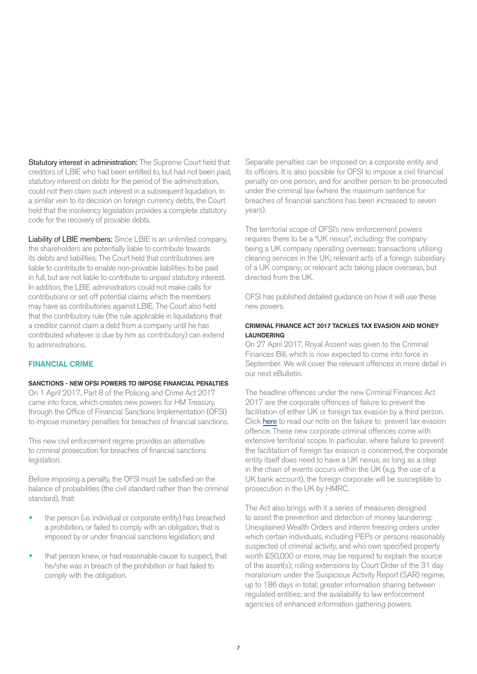Statutory interest in administration: The Supreme Court held that creditors of LBIE who had been entitled to, but had not been paid, statutory interest on debts for the period of the administration, could not then claim such interest in a subsequent liquidation. In a similar vein to its decision on foreign currency debts, the Court held that the insolvency legislation provides a complete statutory code for the recovery of provable debts.

Liability of LBIE members: Since LBIE is an unlimited company, the shareholders are potentially liable to contribute towards its debts and liabilities. The Court held that contributories are liable to contribute to enable non-provable liabilities to be paid in full, but are not liable to contribute to unpaid statutory interest. In addition, the LBIE administrators could not make calls for contributions or set off potential claims which the members may have as contributories against LBIE. The Court also held that the contributory rule (the rule applicable in liquidations that a creditor cannot claim a debt from a company until he has contributed whatever is due by him as contributory) can extend to administrations.

# FINANCIAL CRIME

#### SANCTIONS - NEW OFSI POWERS TO IMPOSE FINANCIAL PENALTIES

On 1 April 2017, Part 8 of the Policing and Crime Act 2017 came into force, which creates new powers for HM Treasury, through the Office of Financial Sanctions Implementation (OFSI) to impose monetary penalties for breaches of financial sanctions.

This new civil enforcement regime provides an alternative to criminal prosecution for breaches of financial sanctions legislation.

Before imposing a penalty, the OFSI must be satisfied on the balance of probabilities (the civil standard rather than the criminal standard), that:

- the person (i.e. individual or corporate entity) has breached a prohibition, or failed to comply with an obligation, that is imposed by or under financial sanctions legislation; and
- that person knew, or had reasonable cause to suspect, that he/she was in breach of the prohibition or had failed to comply with the obligation.

Separate penalties can be imposed on a corporate entity and its officers. It is also possible for OFSI to impose a civil financial penalty on one person, and for another person to be prosecuted under the criminal law (where the maximum sentence for breaches of financial sanctions has been increased to seven years).

The territorial scope of OFSI's new enforcement powers requires there to be a "UK nexus", including: the company being a UK company operating overseas; transactions utilising clearing services in the UK; relevant acts of a foreign subsidiary of a UK company; or relevant acts taking place overseas, but directed from the UK.

OFSI has published detailed guidance on how it will use these new powers.

#### CRIMINAL FINANCE ACT 2017 TACKLES TAX EVASION AND MONEY LAUNDERING

On 27 April 2017, Royal Assent was given to the Criminal Finances Bill, which is now expected to come into force in September. We will cover the relevant offences in more detail in our next eBulletin.

The headline offences under the new Criminal Finances Act 2017 are the corporate offences of failure to prevent the fa[cilitation of ei](http://www.macfarlanes.com/media/762741/Failure-to-prevent-tax-evasion-the-corporate-offence.pdf)ther UK or foreign tax evasion by a third person. Click here to read our note on the failure to prevent tax evasion offence. These new corporate criminal offences come with extensive territorial scope. In particular, where failure to prevent the facilitation of foreign tax evasion is concerned, the corporate entity itself does need to have a UK nexus; as long as a step in the chain of events occurs within the UK (e.g. the use of a UK bank account), the foreign corporate will be susceptible to prosecution in the UK by HMRC.

The Act also brings with it a series of measures designed to assist the prevention and detection of money laundering: Unexplained Wealth Orders and interim freezing orders under which certain individuals, including PEPs or persons reasonably suspected of criminal activity, and who own specified property worth £50,000 or more, may be required to explain the source of the asset(s); rolling extensions by Court Order of the 31 day moratorium under the Suspicious Activity Report (SAR) regime, up to 186 days in total; greater information sharing between regulated entities; and the availability to law enforcement agencies of enhanced information gathering powers.